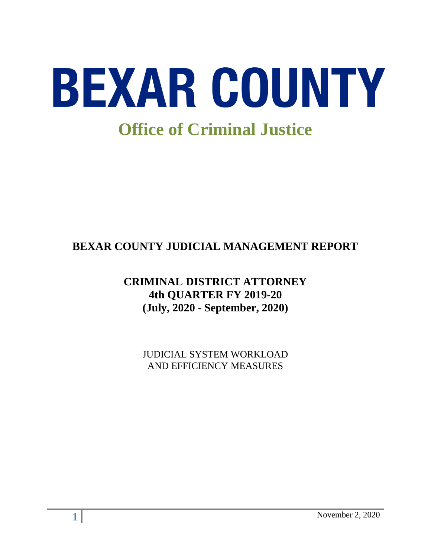

# **BEXAR COUNTY JUDICIAL MANAGEMENT REPORT**

# **CRIMINAL DISTRICT ATTORNEY 4th QUARTER FY 2019-20 (July, 2020 - September, 2020)**

JUDICIAL SYSTEM WORKLOAD AND EFFICIENCY MEASURES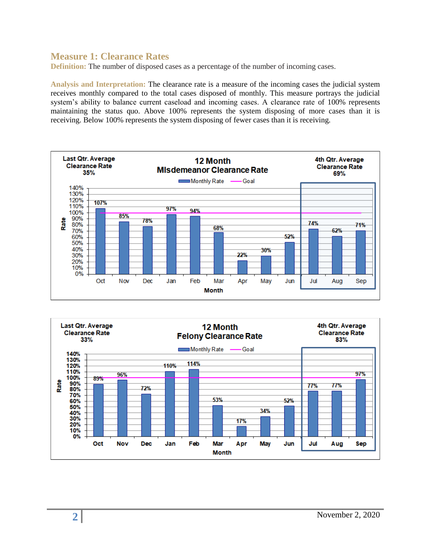#### **Measure 1: Clearance Rates**

**Definition:** The number of disposed cases as a percentage of the number of incoming cases.

**Analysis and Interpretation:** The clearance rate is a measure of the incoming cases the judicial system receives monthly compared to the total cases disposed of monthly. This measure portrays the judicial system's ability to balance current caseload and incoming cases. A clearance rate of 100% represents maintaining the status quo. Above 100% represents the system disposing of more cases than it is receiving. Below 100% represents the system disposing of fewer cases than it is receiving.



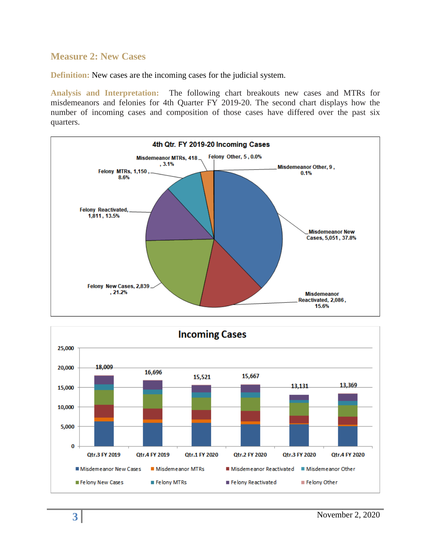#### **Measure 2: New Cases**

**Definition:** New cases are the incoming cases for the judicial system.

**Analysis and Interpretation:** The following chart breakouts new cases and MTRs for misdemeanors and felonies for 4th Quarter FY 2019-20. The second chart displays how the number of incoming cases and composition of those cases have differed over the past six quarters.



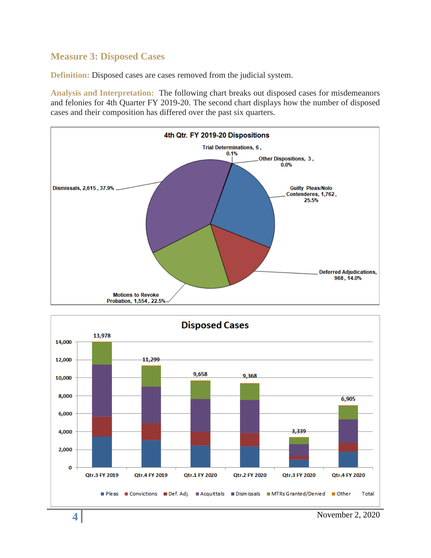## **Measure 3: Disposed Cases**

**Definition:** Disposed cases are cases removed from the judicial system.

**Analysis and Interpretation:** The following chart breaks out disposed cases for misdemeanors and felonies for 4th Quarter FY 2019-20. The second chart displays how the number of disposed cases and their composition has differed over the past six quarters.





**4** November 2, 2020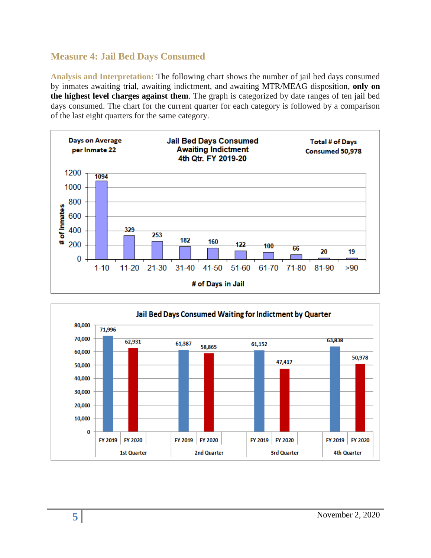## **Measure 4: Jail Bed Days Consumed**

**Analysis and Interpretation:** The following chart shows the number of jail bed days consumed by inmates awaiting trial, awaiting indictment, and awaiting MTR/MEAG disposition, **only on the highest level charges against them**. The graph is categorized by date ranges of ten jail bed days consumed. The chart for the current quarter for each category is followed by a comparison of the last eight quarters for the same category.



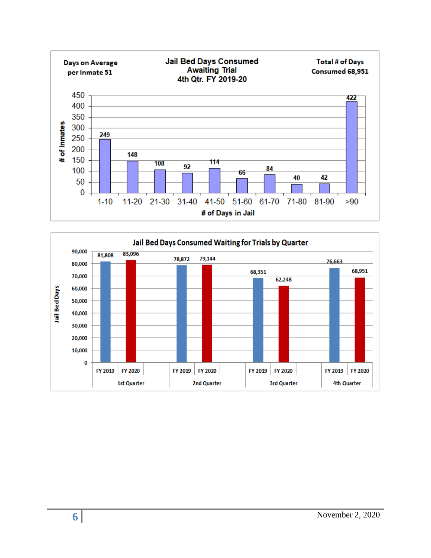

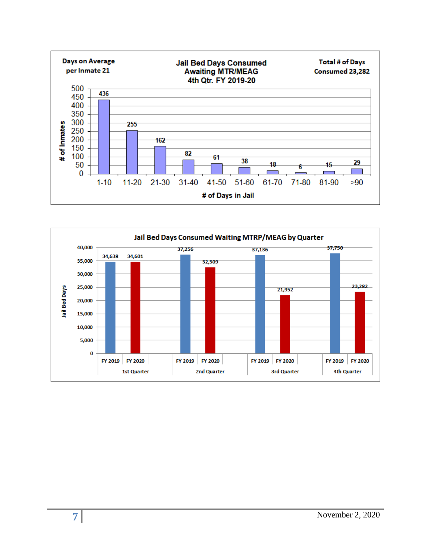

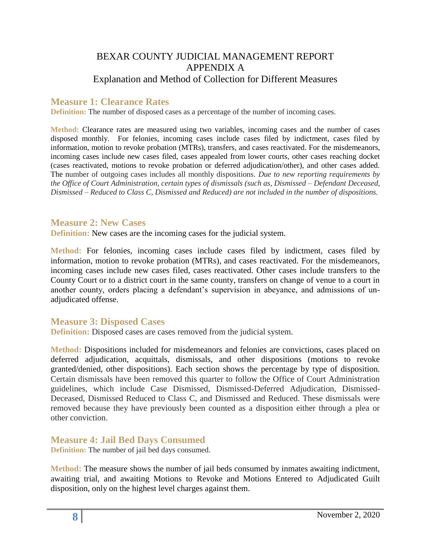## BEXAR COUNTY JUDICIAL MANAGEMENT REPORT APPENDIX A Explanation and Method of Collection for Different Measures

### **Measure 1: Clearance Rates**

**Definition:** The number of disposed cases as a percentage of the number of incoming cases.

**Method:** Clearance rates are measured using two variables, incoming cases and the number of cases disposed monthly. For felonies, incoming cases include cases filed by indictment, cases filed by information, motion to revoke probation (MTRs), transfers, and cases reactivated. For the misdemeanors, incoming cases include new cases filed, cases appealed from lower courts, other cases reaching docket (cases reactivated, motions to revoke probation or deferred adjudication/other), and other cases added. The number of outgoing cases includes all monthly dispositions. *Due to new reporting requirements by the Office of Court Administration, certain types of dismissals (such as, Dismissed – Defendant Deceased, Dismissed – Reduced to Class C, Dismissed and Reduced) are not included in the number of dispositions.*

#### **Measure 2: New Cases**

**Definition:** New cases are the incoming cases for the judicial system.

**Method:** For felonies, incoming cases include cases filed by indictment, cases filed by information, motion to revoke probation (MTRs), and cases reactivated. For the misdemeanors, incoming cases include new cases filed, cases reactivated. Other cases include transfers to the County Court or to a district court in the same county, transfers on change of venue to a court in another county, orders placing a defendant's supervision in abeyance, and admissions of unadjudicated offense.

#### **Measure 3: Disposed Cases**

**Definition:** Disposed cases are cases removed from the judicial system.

**Method:** Dispositions included for misdemeanors and felonies are convictions, cases placed on deferred adjudication, acquittals, dismissals, and other dispositions (motions to revoke granted/denied, other dispositions). Each section shows the percentage by type of disposition. Certain dismissals have been removed this quarter to follow the Office of Court Administration guidelines, which include Case Dismissed, Dismissed-Deferred Adjudication, Dismissed-Deceased, Dismissed Reduced to Class C, and Dismissed and Reduced. These dismissals were removed because they have previously been counted as a disposition either through a plea or other conviction.

**Measure 4: Jail Bed Days Consumed** 

**Definition:** The number of jail bed days consumed.

**Method:** The measure shows the number of jail beds consumed by inmates awaiting indictment, awaiting trial, and awaiting Motions to Revoke and Motions Entered to Adjudicated Guilt disposition, only on the highest level charges against them.